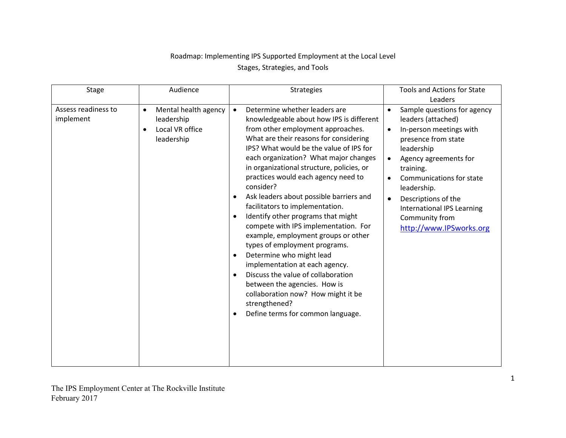## Roadmap: Implementing IPS Supported Employment at the Local Level Stages, Strategies, and Tools

| <b>Stage</b>                     | Audience                                                                                      | <b>Strategies</b>                                                                                                                                                                                                                                                                                                                                                                                                                                                                                                                                                                                                                                                                                                                                                                                                                                                                       | Tools and Actions for State                                                                                                                                                                                                                                                                                                                                                  |
|----------------------------------|-----------------------------------------------------------------------------------------------|-----------------------------------------------------------------------------------------------------------------------------------------------------------------------------------------------------------------------------------------------------------------------------------------------------------------------------------------------------------------------------------------------------------------------------------------------------------------------------------------------------------------------------------------------------------------------------------------------------------------------------------------------------------------------------------------------------------------------------------------------------------------------------------------------------------------------------------------------------------------------------------------|------------------------------------------------------------------------------------------------------------------------------------------------------------------------------------------------------------------------------------------------------------------------------------------------------------------------------------------------------------------------------|
|                                  |                                                                                               |                                                                                                                                                                                                                                                                                                                                                                                                                                                                                                                                                                                                                                                                                                                                                                                                                                                                                         | Leaders                                                                                                                                                                                                                                                                                                                                                                      |
| Assess readiness to<br>implement | Mental health agency<br>$\bullet$<br>leadership<br>Local VR office<br>$\bullet$<br>leadership | Determine whether leaders are<br>$\bullet$<br>knowledgeable about how IPS is different<br>from other employment approaches.<br>What are their reasons for considering<br>IPS? What would be the value of IPS for<br>each organization? What major changes<br>in organizational structure, policies, or<br>practices would each agency need to<br>consider?<br>Ask leaders about possible barriers and<br>٠<br>facilitators to implementation.<br>Identify other programs that might<br>$\bullet$<br>compete with IPS implementation. For<br>example, employment groups or other<br>types of employment programs.<br>Determine who might lead<br>$\bullet$<br>implementation at each agency.<br>Discuss the value of collaboration<br>$\bullet$<br>between the agencies. How is<br>collaboration now? How might it be<br>strengthened?<br>Define terms for common language.<br>$\bullet$ | Sample questions for agency<br>$\bullet$<br>leaders (attached)<br>In-person meetings with<br>$\bullet$<br>presence from state<br>leadership<br>Agency agreements for<br>$\bullet$<br>training.<br>Communications for state<br>$\bullet$<br>leadership.<br>Descriptions of the<br>$\bullet$<br><b>International IPS Learning</b><br>Community from<br>http://www.IPSworks.org |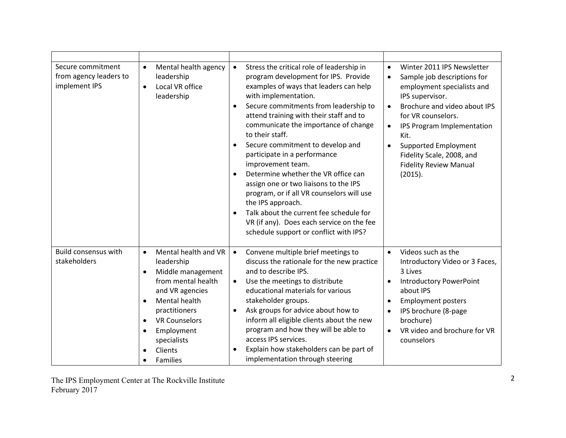| Secure commitment<br>from agency leaders to<br>implement IPS | Mental health agency<br>$\bullet$<br>leadership<br>Local VR office<br>$\bullet$<br>leadership                                                                                                                                                                                                             | Stress the critical role of leadership in<br>$\bullet$<br>program development for IPS. Provide<br>examples of ways that leaders can help<br>with implementation.<br>Secure commitments from leadership to<br>$\bullet$<br>attend training with their staff and to<br>communicate the importance of change<br>to their staff.<br>Secure commitment to develop and<br>participate in a performance<br>improvement team.<br>Determine whether the VR office can<br>assign one or two liaisons to the IPS<br>program, or if all VR counselors will use<br>the IPS approach.<br>Talk about the current fee schedule for<br>VR (if any). Does each service on the fee<br>schedule support or conflict with IPS? | Winter 2011 IPS Newsletter<br>$\bullet$<br>Sample job descriptions for<br>$\bullet$<br>employment specialists and<br>IPS supervisor.<br>Brochure and video about IPS<br>$\bullet$<br>for VR counselors.<br>IPS Program Implementation<br>$\bullet$<br>Kit.<br>Supported Employment<br>$\bullet$<br>Fidelity Scale, 2008, and<br><b>Fidelity Review Manual</b><br>(2015). |
|--------------------------------------------------------------|-----------------------------------------------------------------------------------------------------------------------------------------------------------------------------------------------------------------------------------------------------------------------------------------------------------|-----------------------------------------------------------------------------------------------------------------------------------------------------------------------------------------------------------------------------------------------------------------------------------------------------------------------------------------------------------------------------------------------------------------------------------------------------------------------------------------------------------------------------------------------------------------------------------------------------------------------------------------------------------------------------------------------------------|--------------------------------------------------------------------------------------------------------------------------------------------------------------------------------------------------------------------------------------------------------------------------------------------------------------------------------------------------------------------------|
| <b>Build consensus with</b><br>stakeholders                  | Mental health and VR<br>$\bullet$<br>leadership<br>Middle management<br>$\bullet$<br>from mental health<br>and VR agencies<br>Mental health<br>$\bullet$<br>practitioners<br><b>VR Counselors</b><br>$\bullet$<br>Employment<br>$\bullet$<br>specialists<br>Clients<br>$\bullet$<br>Families<br>$\bullet$ | Convene multiple brief meetings to<br>$\bullet$<br>discuss the rationale for the new practice<br>and to describe IPS.<br>Use the meetings to distribute<br>$\bullet$<br>educational materials for various<br>stakeholder groups.<br>Ask groups for advice about how to<br>inform all eligible clients about the new<br>program and how they will be able to<br>access IPS services.<br>Explain how stakeholders can be part of<br>implementation through steering                                                                                                                                                                                                                                         | Videos such as the<br>$\bullet$<br>Introductory Video or 3 Faces,<br>3 Lives<br><b>Introductory PowerPoint</b><br>about IPS<br><b>Employment posters</b><br>$\bullet$<br>IPS brochure (8-page<br>brochure)<br>VR video and brochure for VR<br>$\bullet$<br>counselors                                                                                                    |

The IPS Employment Center at The Rockville Institute February 2017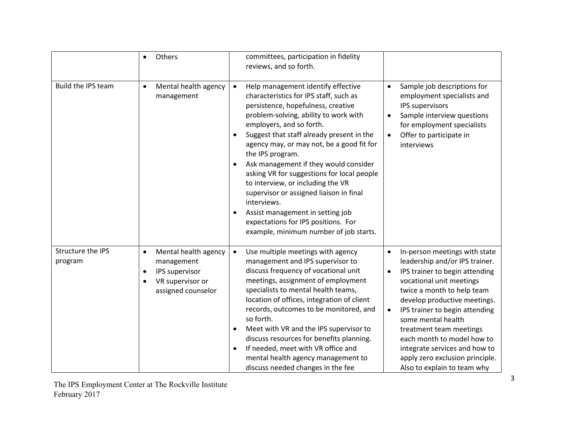|                              | Others<br>$\bullet$                                                                                                                   | committees, participation in fidelity<br>reviews, and so forth.                                                                                                                                                                                                                                                                                                                                                                                                                                                                                                                                                                                                      |                                                                                                                                                                                                                                                                                                                                                                                                                                                        |
|------------------------------|---------------------------------------------------------------------------------------------------------------------------------------|----------------------------------------------------------------------------------------------------------------------------------------------------------------------------------------------------------------------------------------------------------------------------------------------------------------------------------------------------------------------------------------------------------------------------------------------------------------------------------------------------------------------------------------------------------------------------------------------------------------------------------------------------------------------|--------------------------------------------------------------------------------------------------------------------------------------------------------------------------------------------------------------------------------------------------------------------------------------------------------------------------------------------------------------------------------------------------------------------------------------------------------|
| Build the IPS team           | Mental health agency<br>$\bullet$<br>management                                                                                       | Help management identify effective<br>$\bullet$<br>characteristics for IPS staff, such as<br>persistence, hopefulness, creative<br>problem-solving, ability to work with<br>employers, and so forth.<br>Suggest that staff already present in the<br>$\bullet$<br>agency may, or may not, be a good fit for<br>the IPS program.<br>Ask management if they would consider<br>$\bullet$<br>asking VR for suggestions for local people<br>to interview, or including the VR<br>supervisor or assigned liaison in final<br>interviews.<br>Assist management in setting job<br>$\bullet$<br>expectations for IPS positions. For<br>example, minimum number of job starts. | Sample job descriptions for<br>$\bullet$<br>employment specialists and<br>IPS supervisors<br>Sample interview questions<br>$\bullet$<br>for employment specialists<br>Offer to participate in<br>$\bullet$<br>interviews                                                                                                                                                                                                                               |
| Structure the IPS<br>program | Mental health agency<br>$\bullet$<br>management<br>IPS supervisor<br>$\bullet$<br>VR supervisor or<br>$\bullet$<br>assigned counselor | Use multiple meetings with agency<br>$\bullet$<br>management and IPS supervisor to<br>discuss frequency of vocational unit<br>meetings, assignment of employment<br>specialists to mental health teams,<br>location of offices, integration of client<br>records, outcomes to be monitored, and<br>so forth.<br>Meet with VR and the IPS supervisor to<br>$\bullet$<br>discuss resources for benefits planning.<br>If needed, meet with VR office and<br>$\bullet$<br>mental health agency management to<br>discuss needed changes in the fee                                                                                                                        | In-person meetings with state<br>$\bullet$<br>leadership and/or IPS trainer.<br>IPS trainer to begin attending<br>$\bullet$<br>vocational unit meetings<br>twice a month to help team<br>develop productive meetings.<br>IPS trainer to begin attending<br>$\bullet$<br>some mental health<br>treatment team meetings<br>each month to model how to<br>integrate services and how to<br>apply zero exclusion principle.<br>Also to explain to team why |

The IPS Employment Center at The Rockville Institute February 2017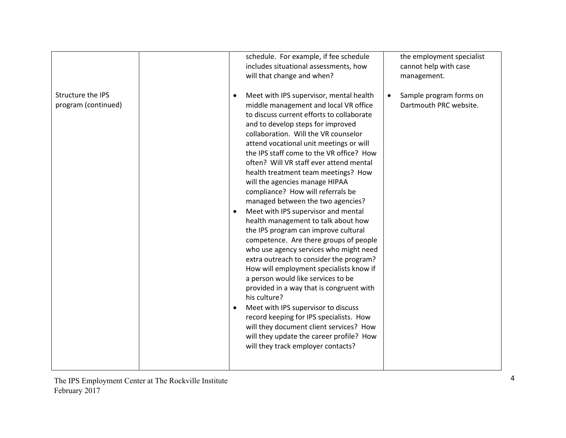| schedule. For example, if fee schedule                                                                                                                                                                                                                                                                                                                                                                                                                                                                                                                                                                                                                                                                                                                                                                                                                                                                                                                                                                                                                                                                                                                                    | the employment specialist                         |
|---------------------------------------------------------------------------------------------------------------------------------------------------------------------------------------------------------------------------------------------------------------------------------------------------------------------------------------------------------------------------------------------------------------------------------------------------------------------------------------------------------------------------------------------------------------------------------------------------------------------------------------------------------------------------------------------------------------------------------------------------------------------------------------------------------------------------------------------------------------------------------------------------------------------------------------------------------------------------------------------------------------------------------------------------------------------------------------------------------------------------------------------------------------------------|---------------------------------------------------|
| includes situational assessments, how                                                                                                                                                                                                                                                                                                                                                                                                                                                                                                                                                                                                                                                                                                                                                                                                                                                                                                                                                                                                                                                                                                                                     | cannot help with case                             |
| will that change and when?                                                                                                                                                                                                                                                                                                                                                                                                                                                                                                                                                                                                                                                                                                                                                                                                                                                                                                                                                                                                                                                                                                                                                | management.                                       |
| Structure the IPS<br>Meet with IPS supervisor, mental health<br>$\bullet$<br>program (continued)<br>middle management and local VR office<br>to discuss current efforts to collaborate<br>and to develop steps for improved<br>collaboration. Will the VR counselor<br>attend vocational unit meetings or will<br>the IPS staff come to the VR office? How<br>often? Will VR staff ever attend mental<br>health treatment team meetings? How<br>will the agencies manage HIPAA<br>compliance? How will referrals be<br>managed between the two agencies?<br>Meet with IPS supervisor and mental<br>health management to talk about how<br>the IPS program can improve cultural<br>competence. Are there groups of people<br>who use agency services who might need<br>extra outreach to consider the program?<br>How will employment specialists know if<br>a person would like services to be<br>provided in a way that is congruent with<br>his culture?<br>Meet with IPS supervisor to discuss<br>record keeping for IPS specialists. How<br>will they document client services? How<br>will they update the career profile? How<br>will they track employer contacts? | Sample program forms on<br>Dartmouth PRC website. |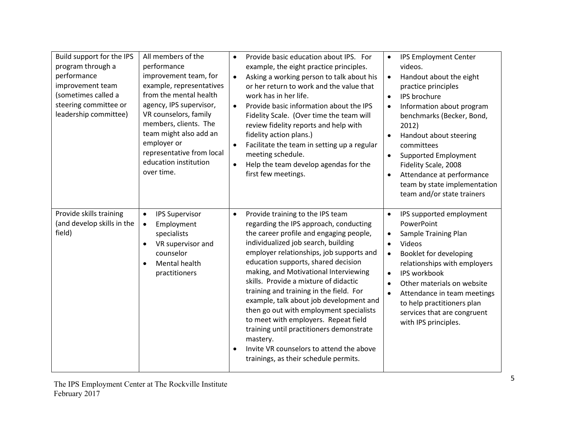| Build support for the IPS<br>program through a<br>performance<br>improvement team<br>(sometimes called a<br>steering committee or<br>leadership committee) | All members of the<br>performance<br>improvement team, for<br>example, representatives<br>from the mental health<br>agency, IPS supervisor,<br>VR counselors, family<br>members, clients. The<br>team might also add an<br>employer or<br>representative from local<br>education institution<br>over time. | Provide basic education about IPS. For<br>$\bullet$<br>example, the eight practice principles.<br>Asking a working person to talk about his<br>$\bullet$<br>or her return to work and the value that<br>work has in her life.<br>Provide basic information about the IPS<br>$\bullet$<br>Fidelity Scale. (Over time the team will<br>review fidelity reports and help with<br>fidelity action plans.)<br>Facilitate the team in setting up a regular<br>$\bullet$<br>meeting schedule.<br>Help the team develop agendas for the<br>$\bullet$<br>first few meetings.                                                                                                       | <b>IPS Employment Center</b><br>$\bullet$<br>videos.<br>Handout about the eight<br>$\bullet$<br>practice principles<br>IPS brochure<br>$\bullet$<br>Information about program<br>$\bullet$<br>benchmarks (Becker, Bond,<br>2012)<br>Handout about steering<br>$\bullet$<br>committees<br>Supported Employment<br>$\bullet$<br>Fidelity Scale, 2008<br>Attendance at performance<br>team by state implementation<br>team and/or state trainers |
|------------------------------------------------------------------------------------------------------------------------------------------------------------|------------------------------------------------------------------------------------------------------------------------------------------------------------------------------------------------------------------------------------------------------------------------------------------------------------|---------------------------------------------------------------------------------------------------------------------------------------------------------------------------------------------------------------------------------------------------------------------------------------------------------------------------------------------------------------------------------------------------------------------------------------------------------------------------------------------------------------------------------------------------------------------------------------------------------------------------------------------------------------------------|-----------------------------------------------------------------------------------------------------------------------------------------------------------------------------------------------------------------------------------------------------------------------------------------------------------------------------------------------------------------------------------------------------------------------------------------------|
| Provide skills training<br>(and develop skills in the<br>field)                                                                                            | <b>IPS Supervisor</b><br>$\bullet$<br>Employment<br>$\bullet$<br>specialists<br>VR supervisor and<br>$\bullet$<br>counselor<br>Mental health<br>$\bullet$<br>practitioners                                                                                                                                 | Provide training to the IPS team<br>$\bullet$<br>regarding the IPS approach, conducting<br>the career profile and engaging people,<br>individualized job search, building<br>employer relationships, job supports and<br>education supports, shared decision<br>making, and Motivational Interviewing<br>skills. Provide a mixture of didactic<br>training and training in the field. For<br>example, talk about job development and<br>then go out with employment specialists<br>to meet with employers. Repeat field<br>training until practitioners demonstrate<br>mastery.<br>Invite VR counselors to attend the above<br>٠<br>trainings, as their schedule permits. | IPS supported employment<br>$\bullet$<br>PowerPoint<br><b>Sample Training Plan</b><br>$\bullet$<br>Videos<br>$\bullet$<br>Booklet for developing<br>$\bullet$<br>relationships with employers<br>IPS workbook<br>$\bullet$<br>Other materials on website<br>Attendance in team meetings<br>$\bullet$<br>to help practitioners plan<br>services that are congruent<br>with IPS principles.                                                     |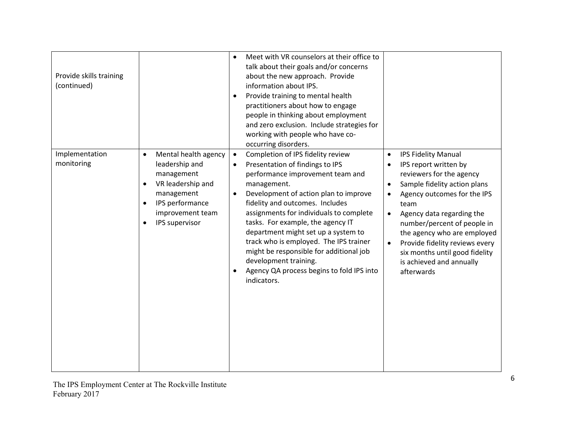| Provide skills training<br>(continued) |                                                                                                                                                                                                      | Meet with VR counselors at their office to<br>$\bullet$<br>talk about their goals and/or concerns<br>about the new approach. Provide<br>information about IPS.<br>Provide training to mental health<br>$\bullet$<br>practitioners about how to engage<br>people in thinking about employment<br>and zero exclusion. Include strategies for<br>working with people who have co-<br>occurring disorders.                                                                                                                                                   |                                                                                                                                                                                                                                                                                                                                                                                                                                  |
|----------------------------------------|------------------------------------------------------------------------------------------------------------------------------------------------------------------------------------------------------|----------------------------------------------------------------------------------------------------------------------------------------------------------------------------------------------------------------------------------------------------------------------------------------------------------------------------------------------------------------------------------------------------------------------------------------------------------------------------------------------------------------------------------------------------------|----------------------------------------------------------------------------------------------------------------------------------------------------------------------------------------------------------------------------------------------------------------------------------------------------------------------------------------------------------------------------------------------------------------------------------|
| Implementation<br>monitoring           | Mental health agency<br>$\bullet$<br>leadership and<br>management<br>VR leadership and<br>$\bullet$<br>management<br>IPS performance<br>$\bullet$<br>improvement team<br>IPS supervisor<br>$\bullet$ | Completion of IPS fidelity review<br>$\bullet$<br>Presentation of findings to IPS<br>$\bullet$<br>performance improvement team and<br>management.<br>Development of action plan to improve<br>$\bullet$<br>fidelity and outcomes. Includes<br>assignments for individuals to complete<br>tasks. For example, the agency IT<br>department might set up a system to<br>track who is employed. The IPS trainer<br>might be responsible for additional job<br>development training.<br>Agency QA process begins to fold IPS into<br>$\bullet$<br>indicators. | <b>IPS Fidelity Manual</b><br>$\bullet$<br>IPS report written by<br>$\bullet$<br>reviewers for the agency<br>Sample fidelity action plans<br>$\bullet$<br>Agency outcomes for the IPS<br>team<br>Agency data regarding the<br>$\bullet$<br>number/percent of people in<br>the agency who are employed<br>Provide fidelity reviews every<br>$\bullet$<br>six months until good fidelity<br>is achieved and annually<br>afterwards |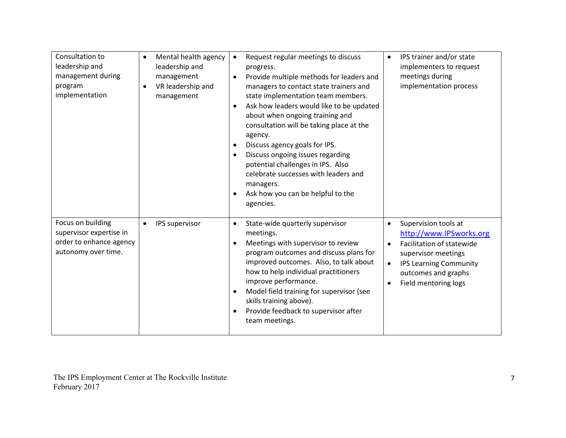| Consultation to<br>leadership and<br>management during                                         | Mental health agency<br>$\bullet$<br>leadership and<br>management | Request regular meetings to discuss<br>$\bullet$<br>progress.<br>Provide multiple methods for leaders and<br>$\bullet$                                                                                                                                                                                                                                                                                                                                                          | IPS trainer and/or state<br>$\bullet$<br>implementers to request<br>meetings during                                                                                                                                                     |
|------------------------------------------------------------------------------------------------|-------------------------------------------------------------------|---------------------------------------------------------------------------------------------------------------------------------------------------------------------------------------------------------------------------------------------------------------------------------------------------------------------------------------------------------------------------------------------------------------------------------------------------------------------------------|-----------------------------------------------------------------------------------------------------------------------------------------------------------------------------------------------------------------------------------------|
| program<br>implementation                                                                      | VR leadership and<br>$\bullet$<br>management                      | managers to contact state trainers and<br>state implementation team members.<br>Ask how leaders would like to be updated<br>$\bullet$<br>about when ongoing training and<br>consultation will be taking place at the<br>agency.<br>Discuss agency goals for IPS.<br>٠<br>Discuss ongoing issues regarding<br>$\bullet$<br>potential challenges in IPS. Also<br>celebrate successes with leaders and<br>managers.<br>Ask how you can be helpful to the<br>$\bullet$<br>agencies. | implementation process                                                                                                                                                                                                                  |
| Focus on building<br>supervisor expertise in<br>order to enhance agency<br>autonomy over time. | IPS supervisor<br>$\bullet$                                       | State-wide quarterly supervisor<br>$\bullet$<br>meetings.<br>Meetings with supervisor to review<br>$\bullet$<br>program outcomes and discuss plans for<br>improved outcomes. Also, to talk about<br>how to help individual practitioners<br>improve performance.<br>Model field training for supervisor (see<br>$\bullet$<br>skills training above).<br>Provide feedback to supervisor after<br>team meetings.                                                                  | Supervision tools at<br>$\bullet$<br>http://www.IPSworks.org<br>Facilitation of statewide<br>$\bullet$<br>supervisor meetings<br><b>IPS Learning Community</b><br>$\bullet$<br>outcomes and graphs<br>Field mentoring logs<br>$\bullet$ |